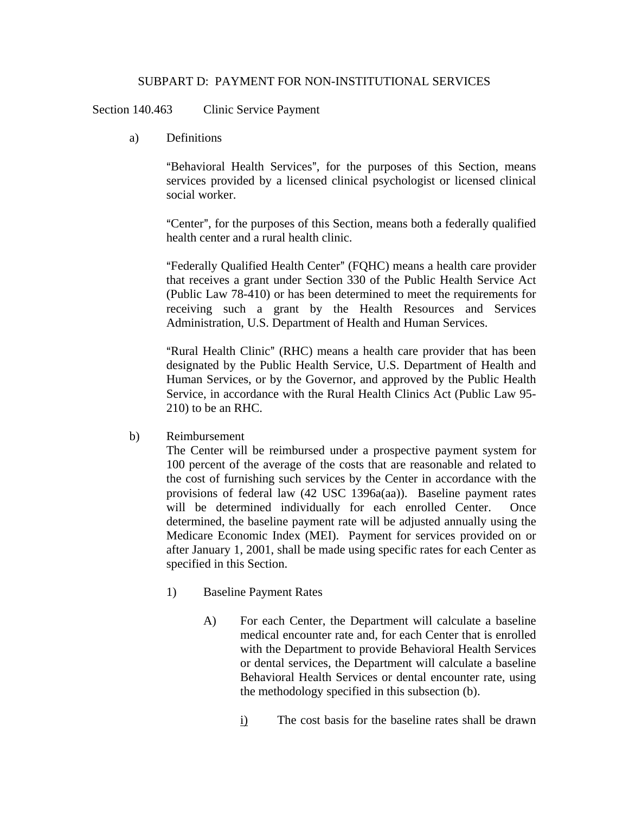## SUBPART D: PAYMENT FOR NON-INSTITUTIONAL SERVICES

Section 140.463 Clinic Service Payment

a) Definitions

"Behavioral Health Services", for the purposes of this Section, means services provided by a licensed clinical psychologist or licensed clinical social worker.

"Center", for the purposes of this Section, means both a federally qualified health center and a rural health clinic.

"Federally Qualified Health Center" (FQHC) means a health care provider that receives a grant under Section 330 of the Public Health Service Act (Public Law 78-410) or has been determined to meet the requirements for receiving such a grant by the Health Resources and Services Administration, U.S. Department of Health and Human Services.

"Rural Health Clinic" (RHC) means a health care provider that has been designated by the Public Health Service, U.S. Department of Health and Human Services, or by the Governor, and approved by the Public Health Service, in accordance with the Rural Health Clinics Act (Public Law 95- 210) to be an RHC.

b) Reimbursement

The Center will be reimbursed under a prospective payment system for 100 percent of the average of the costs that are reasonable and related to the cost of furnishing such services by the Center in accordance with the provisions of federal law (42 USC 1396a(aa)). Baseline payment rates will be determined individually for each enrolled Center. Once determined, the baseline payment rate will be adjusted annually using the Medicare Economic Index (MEI). Payment for services provided on or after January 1, 2001, shall be made using specific rates for each Center as specified in this Section.

- 1) Baseline Payment Rates
	- A) For each Center, the Department will calculate a baseline medical encounter rate and, for each Center that is enrolled with the Department to provide Behavioral Health Services or dental services, the Department will calculate a baseline Behavioral Health Services or dental encounter rate, using the methodology specified in this subsection (b).
		- i) The cost basis for the baseline rates shall be drawn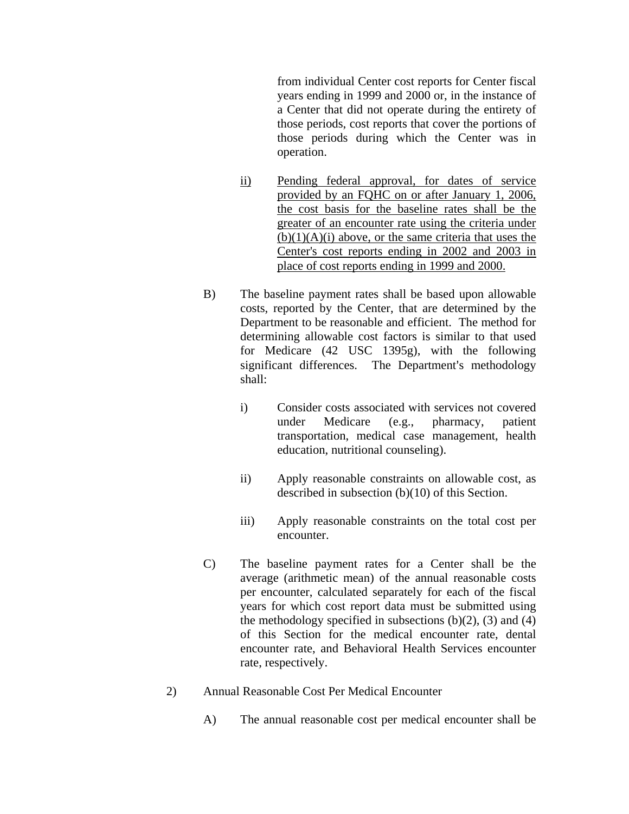from individual Center cost reports for Center fiscal years ending in 1999 and 2000 or, in the instance of a Center that did not operate during the entirety of those periods, cost reports that cover the portions of those periods during which the Center was in operation.

- ii) Pending federal approval, for dates of service provided by an FQHC on or after January 1, 2006, the cost basis for the baseline rates shall be the greater of an encounter rate using the criteria under  $(b)(1)(A)(i)$  above, or the same criteria that uses the Center's cost reports ending in 2002 and 2003 in place of cost reports ending in 1999 and 2000.
- B) The baseline payment rates shall be based upon allowable costs, reported by the Center, that are determined by the Department to be reasonable and efficient. The method for determining allowable cost factors is similar to that used for Medicare (42 USC 1395g), with the following significant differences. The Department's methodology shall:
	- i) Consider costs associated with services not covered under Medicare (e.g., pharmacy, patient transportation, medical case management, health education, nutritional counseling).
	- ii) Apply reasonable constraints on allowable cost, as described in subsection (b)(10) of this Section.
	- iii) Apply reasonable constraints on the total cost per encounter.
- C) The baseline payment rates for a Center shall be the average (arithmetic mean) of the annual reasonable costs per encounter, calculated separately for each of the fiscal years for which cost report data must be submitted using the methodology specified in subsections  $(b)(2)$ ,  $(3)$  and  $(4)$ of this Section for the medical encounter rate, dental encounter rate, and Behavioral Health Services encounter rate, respectively.
- 2) Annual Reasonable Cost Per Medical Encounter
	- A) The annual reasonable cost per medical encounter shall be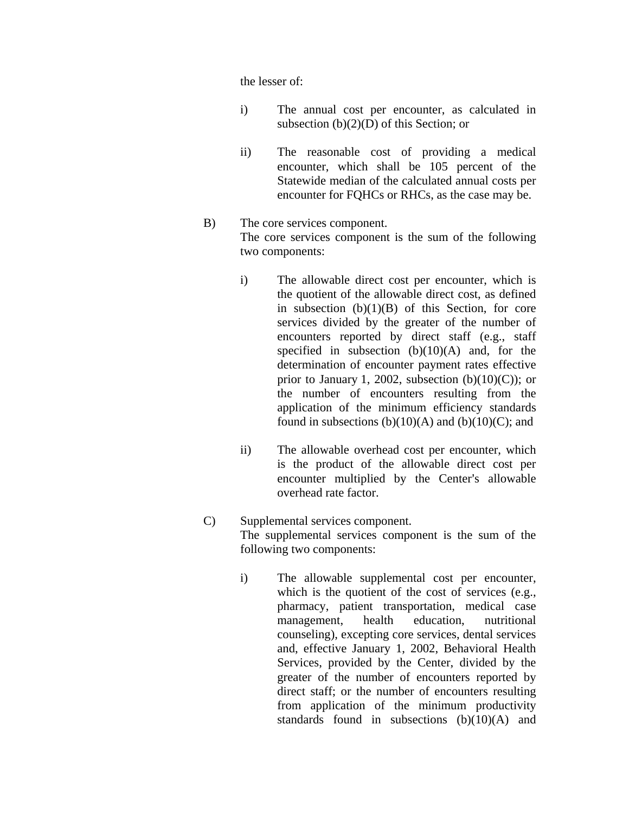the lesser of:

- i) The annual cost per encounter, as calculated in subsection  $(b)(2)(D)$  of this Section; or
- ii) The reasonable cost of providing a medical encounter, which shall be 105 percent of the Statewide median of the calculated annual costs per encounter for FQHCs or RHCs, as the case may be.
- B) The core services component. The core services component is the sum of the following two components:
	- i) The allowable direct cost per encounter, which is the quotient of the allowable direct cost, as defined in subsection  $(b)(1)(B)$  of this Section, for core services divided by the greater of the number of encounters reported by direct staff (e.g., staff specified in subsection  $(b)(10)(A)$  and, for the determination of encounter payment rates effective prior to January 1, 2002, subsection  $(b)(10)(C)$ ; or the number of encounters resulting from the application of the minimum efficiency standards found in subsections  $(b)(10)(A)$  and  $(b)(10)(C)$ ; and
	- ii) The allowable overhead cost per encounter, which is the product of the allowable direct cost per encounter multiplied by the Center's allowable overhead rate factor.

## C) Supplemental services component. The supplemental services component is the sum of the following two components:

i) The allowable supplemental cost per encounter, which is the quotient of the cost of services (e.g., pharmacy, patient transportation, medical case management, health education, nutritional counseling), excepting core services, dental services and, effective January 1, 2002, Behavioral Health Services, provided by the Center, divided by the greater of the number of encounters reported by direct staff; or the number of encounters resulting from application of the minimum productivity standards found in subsections  $(b)(10)(A)$  and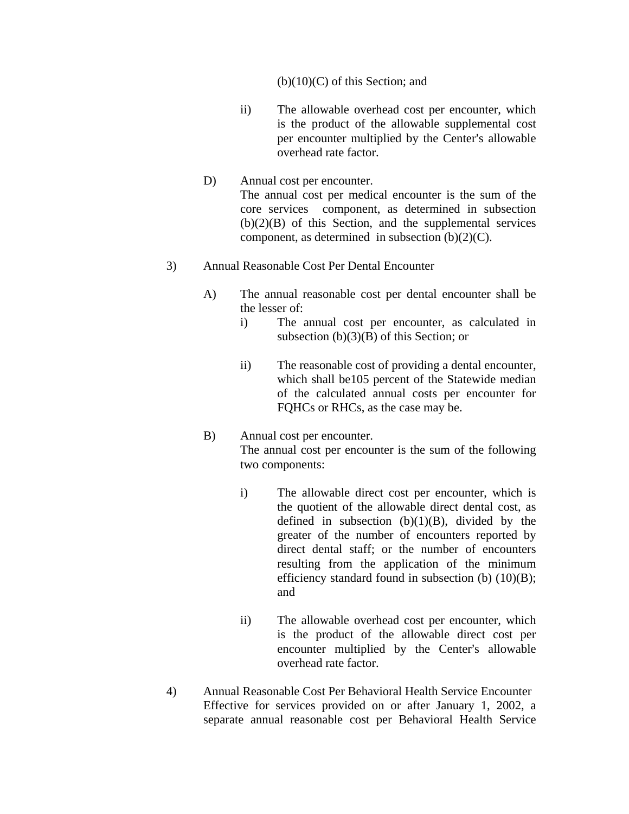## $(b)(10)(C)$  of this Section; and

- ii) The allowable overhead cost per encounter, which is the product of the allowable supplemental cost per encounter multiplied by the Center's allowable overhead rate factor.
- D) Annual cost per encounter. The annual cost per medical encounter is the sum of the core services component, as determined in subsection  $(b)(2)(B)$  of this Section, and the supplemental services component, as determined in subsection  $(b)(2)(C)$ .

## 3) Annual Reasonable Cost Per Dental Encounter

- A) The annual reasonable cost per dental encounter shall be the lesser of:
	- i) The annual cost per encounter, as calculated in subsection (b)(3)(B) of this Section; or
	- ii) The reasonable cost of providing a dental encounter, which shall be105 percent of the Statewide median of the calculated annual costs per encounter for FQHCs or RHCs, as the case may be.
- B) Annual cost per encounter. The annual cost per encounter is the sum of the following two components:
	- i) The allowable direct cost per encounter, which is the quotient of the allowable direct dental cost, as defined in subsection  $(b)(1)(B)$ , divided by the greater of the number of encounters reported by direct dental staff; or the number of encounters resulting from the application of the minimum efficiency standard found in subsection (b) (10)(B); and
	- ii) The allowable overhead cost per encounter, which is the product of the allowable direct cost per encounter multiplied by the Center's allowable overhead rate factor.
- 4) Annual Reasonable Cost Per Behavioral Health Service Encounter Effective for services provided on or after January 1, 2002, a separate annual reasonable cost per Behavioral Health Service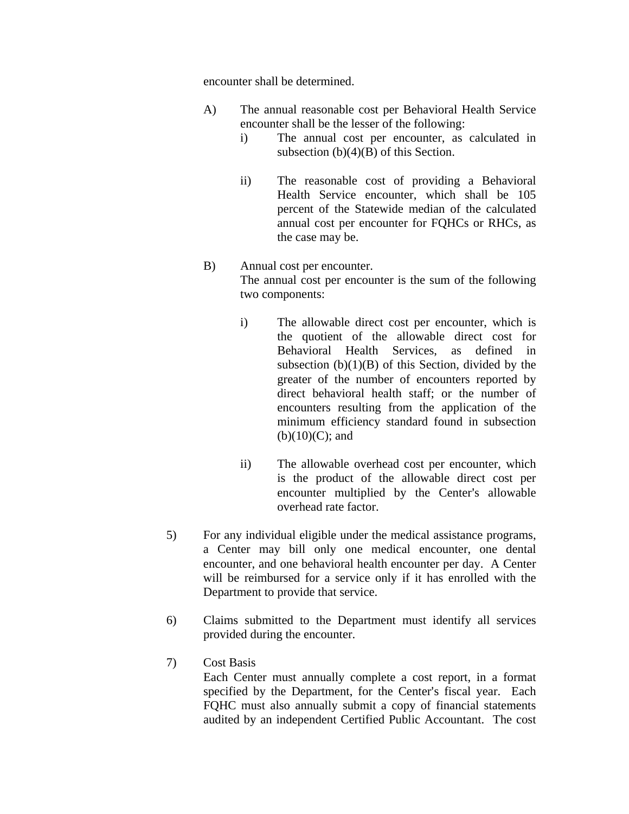encounter shall be determined.

- A) The annual reasonable cost per Behavioral Health Service encounter shall be the lesser of the following:
	- i) The annual cost per encounter, as calculated in subsection  $(b)(4)(B)$  of this Section.
	- ii) The reasonable cost of providing a Behavioral Health Service encounter, which shall be 105 percent of the Statewide median of the calculated annual cost per encounter for FQHCs or RHCs, as the case may be.
- B) Annual cost per encounter. The annual cost per encounter is the sum of the following two components:
	- i) The allowable direct cost per encounter, which is the quotient of the allowable direct cost for Behavioral Health Services, as defined in subsection  $(b)(1)(B)$  of this Section, divided by the greater of the number of encounters reported by direct behavioral health staff; or the number of encounters resulting from the application of the minimum efficiency standard found in subsection  $(b)(10)(C)$ ; and
	- ii) The allowable overhead cost per encounter, which is the product of the allowable direct cost per encounter multiplied by the Center's allowable overhead rate factor.
- 5) For any individual eligible under the medical assistance programs, a Center may bill only one medical encounter, one dental encounter, and one behavioral health encounter per day. A Center will be reimbursed for a service only if it has enrolled with the Department to provide that service.
- 6) Claims submitted to the Department must identify all services provided during the encounter.
- 7) Cost Basis

Each Center must annually complete a cost report, in a format specified by the Department, for the Center's fiscal year. Each FQHC must also annually submit a copy of financial statements audited by an independent Certified Public Accountant. The cost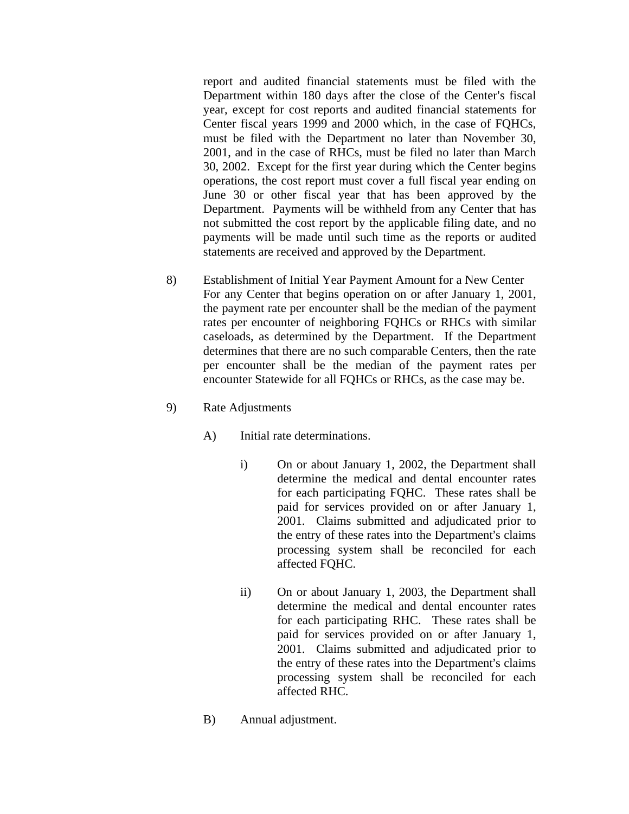report and audited financial statements must be filed with the Department within 180 days after the close of the Center's fiscal year, except for cost reports and audited financial statements for Center fiscal years 1999 and 2000 which, in the case of FQHCs, must be filed with the Department no later than November 30, 2001, and in the case of RHCs, must be filed no later than March 30, 2002. Except for the first year during which the Center begins operations, the cost report must cover a full fiscal year ending on June 30 or other fiscal year that has been approved by the Department. Payments will be withheld from any Center that has not submitted the cost report by the applicable filing date, and no payments will be made until such time as the reports or audited statements are received and approved by the Department.

- 8) Establishment of Initial Year Payment Amount for a New Center For any Center that begins operation on or after January 1, 2001, the payment rate per encounter shall be the median of the payment rates per encounter of neighboring FQHCs or RHCs with similar caseloads, as determined by the Department. If the Department determines that there are no such comparable Centers, then the rate per encounter shall be the median of the payment rates per encounter Statewide for all FQHCs or RHCs, as the case may be.
- 9) Rate Adjustments
	- A) Initial rate determinations.
		- i) On or about January 1, 2002, the Department shall determine the medical and dental encounter rates for each participating FQHC. These rates shall be paid for services provided on or after January 1, 2001. Claims submitted and adjudicated prior to the entry of these rates into the Department's claims processing system shall be reconciled for each affected FQHC.
		- ii) On or about January 1, 2003, the Department shall determine the medical and dental encounter rates for each participating RHC. These rates shall be paid for services provided on or after January 1, 2001. Claims submitted and adjudicated prior to the entry of these rates into the Department's claims processing system shall be reconciled for each affected RHC.
	- B) Annual adjustment.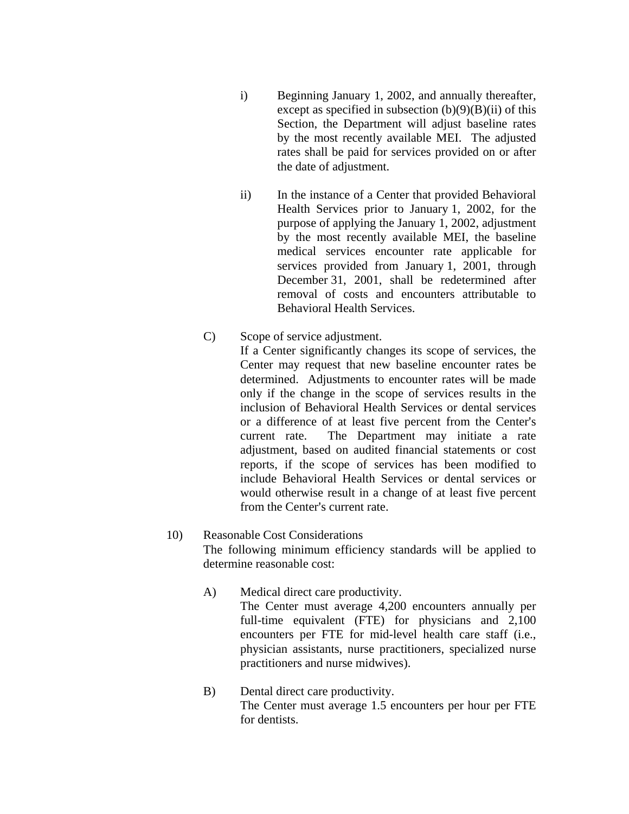- i) Beginning January 1, 2002, and annually thereafter, except as specified in subsection  $(b)(9)(B)(ii)$  of this Section, the Department will adjust baseline rates by the most recently available MEI. The adjusted rates shall be paid for services provided on or after the date of adjustment.
- ii) In the instance of a Center that provided Behavioral Health Services prior to January 1, 2002, for the purpose of applying the January 1, 2002, adjustment by the most recently available MEI, the baseline medical services encounter rate applicable for services provided from January 1, 2001, through December 31, 2001, shall be redetermined after removal of costs and encounters attributable to Behavioral Health Services.
- C) Scope of service adjustment.

If a Center significantly changes its scope of services, the Center may request that new baseline encounter rates be determined. Adjustments to encounter rates will be made only if the change in the scope of services results in the inclusion of Behavioral Health Services or dental services or a difference of at least five percent from the Center's current rate. The Department may initiate a rate adjustment, based on audited financial statements or cost reports, if the scope of services has been modified to include Behavioral Health Services or dental services or would otherwise result in a change of at least five percent from the Center's current rate.

- 10) Reasonable Cost Considerations The following minimum efficiency standards will be applied to determine reasonable cost:
	- A) Medical direct care productivity. The Center must average 4,200 encounters annually per full-time equivalent (FTE) for physicians and 2,100 encounters per FTE for mid-level health care staff (i.e., physician assistants, nurse practitioners, specialized nurse practitioners and nurse midwives).
	- B) Dental direct care productivity. The Center must average 1.5 encounters per hour per FTE for dentists.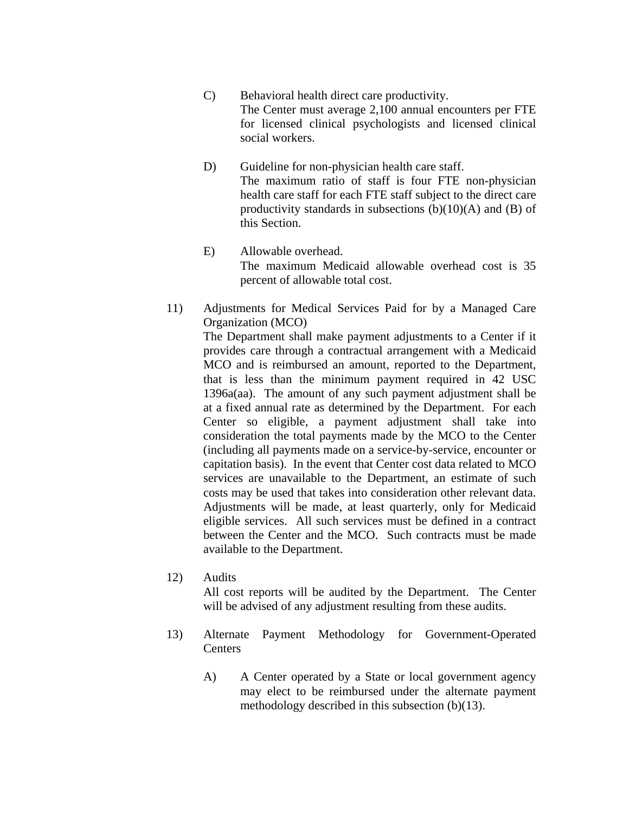- C) Behavioral health direct care productivity. The Center must average 2,100 annual encounters per FTE for licensed clinical psychologists and licensed clinical social workers.
- D) Guideline for non-physician health care staff. The maximum ratio of staff is four FTE non-physician health care staff for each FTE staff subject to the direct care productivity standards in subsections  $(b)(10)(A)$  and  $(B)$  of this Section.
- E) Allowable overhead. The maximum Medicaid allowable overhead cost is 35 percent of allowable total cost.
- 11) Adjustments for Medical Services Paid for by a Managed Care Organization (MCO)

 The Department shall make payment adjustments to a Center if it provides care through a contractual arrangement with a Medicaid MCO and is reimbursed an amount, reported to the Department, that is less than the minimum payment required in 42 USC 1396a(aa). The amount of any such payment adjustment shall be at a fixed annual rate as determined by the Department. For each Center so eligible, a payment adjustment shall take into consideration the total payments made by the MCO to the Center (including all payments made on a service-by-service, encounter or capitation basis). In the event that Center cost data related to MCO services are unavailable to the Department, an estimate of such costs may be used that takes into consideration other relevant data. Adjustments will be made, at least quarterly, only for Medicaid eligible services. All such services must be defined in a contract between the Center and the MCO. Such contracts must be made available to the Department.

12) Audits

All cost reports will be audited by the Department. The Center will be advised of any adjustment resulting from these audits.

- 13) Alternate Payment Methodology for Government-Operated Centers
	- A) A Center operated by a State or local government agency may elect to be reimbursed under the alternate payment methodology described in this subsection (b)(13).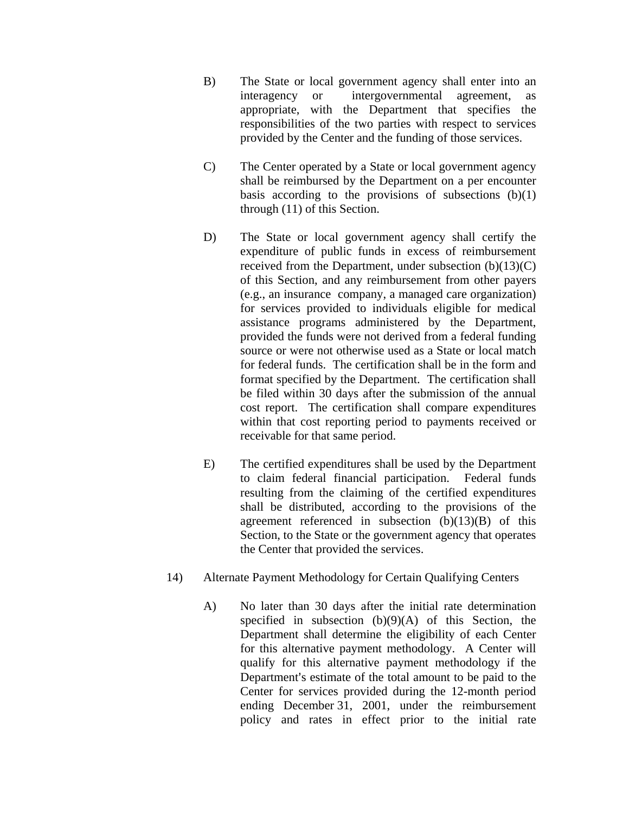- B) The State or local government agency shall enter into an interagency or intergovernmental agreement, as appropriate, with the Department that specifies the responsibilities of the two parties with respect to services provided by the Center and the funding of those services.
- C) The Center operated by a State or local government agency shall be reimbursed by the Department on a per encounter basis according to the provisions of subsections  $(b)(1)$ through (11) of this Section.
- D) The State or local government agency shall certify the expenditure of public funds in excess of reimbursement received from the Department, under subsection  $(b)(13)(C)$ of this Section, and any reimbursement from other payers (e.g., an insurance company, a managed care organization) for services provided to individuals eligible for medical assistance programs administered by the Department, provided the funds were not derived from a federal funding source or were not otherwise used as a State or local match for federal funds. The certification shall be in the form and format specified by the Department. The certification shall be filed within 30 days after the submission of the annual cost report. The certification shall compare expenditures within that cost reporting period to payments received or receivable for that same period.
- E) The certified expenditures shall be used by the Department to claim federal financial participation. Federal funds resulting from the claiming of the certified expenditures shall be distributed, according to the provisions of the agreement referenced in subsection (b)(13)(B) of this Section, to the State or the government agency that operates the Center that provided the services.
- 14) Alternate Payment Methodology for Certain Qualifying Centers
	- A) No later than 30 days after the initial rate determination specified in subsection  $(b)(9)(A)$  of this Section, the Department shall determine the eligibility of each Center for this alternative payment methodology. A Center will qualify for this alternative payment methodology if the Department's estimate of the total amount to be paid to the Center for services provided during the 12-month period ending December 31, 2001, under the reimbursement policy and rates in effect prior to the initial rate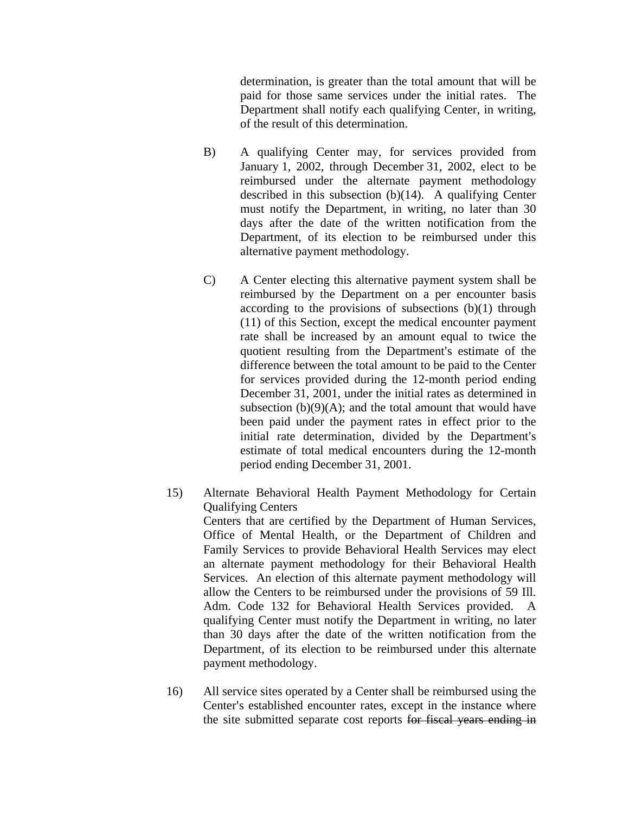determination, is greater than the total amount that will be paid for those same services under the initial rates. The Department shall notify each qualifying Center, in writing, of the result of this determination.

- B) A qualifying Center may, for services provided from January 1, 2002, through December 31, 2002, elect to be reimbursed under the alternate payment methodology described in this subsection  $(b)(14)$ . A qualifying Center must notify the Department, in writing, no later than 30 days after the date of the written notification from the Department, of its election to be reimbursed under this alternative payment methodology.
- C) A Center electing this alternative payment system shall be reimbursed by the Department on a per encounter basis according to the provisions of subsections  $(b)(1)$  through (11) of this Section, except the medical encounter payment rate shall be increased by an amount equal to twice the quotient resulting from the Department's estimate of the difference between the total amount to be paid to the Center for services provided during the 12-month period ending December 31, 2001, under the initial rates as determined in subsection  $(b)(9)(A)$ ; and the total amount that would have been paid under the payment rates in effect prior to the initial rate determination, divided by the Department's estimate of total medical encounters during the 12-month period ending December 31, 2001.

15) Alternate Behavioral Health Payment Methodology for Certain Qualifying Centers Centers that are certified by the Department of Human Services, Office of Mental Health, or the Department of Children and Family Services to provide Behavioral Health Services may elect an alternate payment methodology for their Behavioral Health Services. An election of this alternate payment methodology will allow the Centers to be reimbursed under the provisions of 59 Ill. Adm. Code 132 for Behavioral Health Services provided. A qualifying Center must notify the Department in writing, no later than 30 days after the date of the written notification from the Department, of its election to be reimbursed under this alternate payment methodology.

16) All service sites operated by a Center shall be reimbursed using the Center's established encounter rates, except in the instance where the site submitted separate cost reports for fiscal years ending in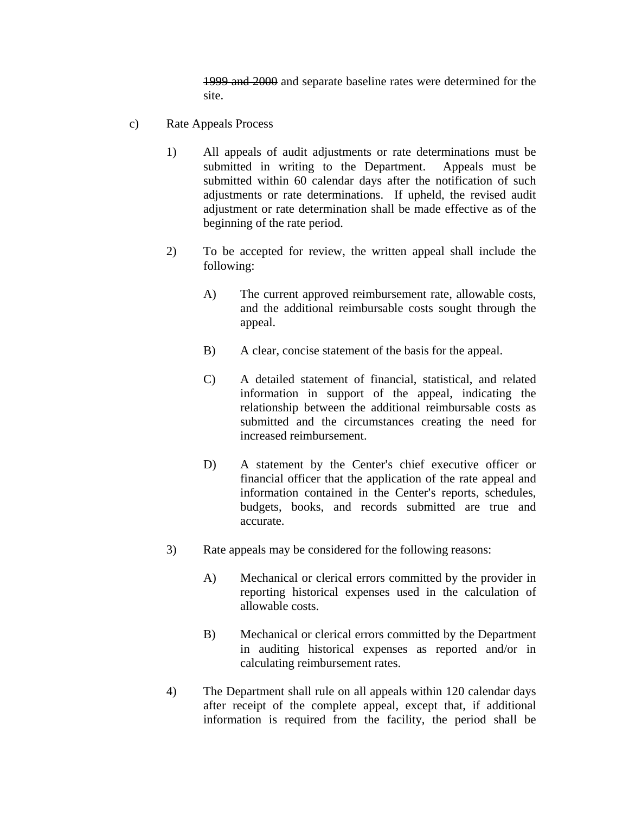1999 and 2000 and separate baseline rates were determined for the site.

- c) Rate Appeals Process
	- 1) All appeals of audit adjustments or rate determinations must be submitted in writing to the Department. Appeals must be submitted within 60 calendar days after the notification of such adjustments or rate determinations. If upheld, the revised audit adjustment or rate determination shall be made effective as of the beginning of the rate period.
	- 2) To be accepted for review, the written appeal shall include the following:
		- A) The current approved reimbursement rate, allowable costs, and the additional reimbursable costs sought through the appeal.
		- B) A clear, concise statement of the basis for the appeal.
		- C) A detailed statement of financial, statistical, and related information in support of the appeal, indicating the relationship between the additional reimbursable costs as submitted and the circumstances creating the need for increased reimbursement.
		- D) A statement by the Center's chief executive officer or financial officer that the application of the rate appeal and information contained in the Center's reports, schedules, budgets, books, and records submitted are true and accurate.
	- 3) Rate appeals may be considered for the following reasons:
		- A) Mechanical or clerical errors committed by the provider in reporting historical expenses used in the calculation of allowable costs.
		- B) Mechanical or clerical errors committed by the Department in auditing historical expenses as reported and/or in calculating reimbursement rates.
	- 4) The Department shall rule on all appeals within 120 calendar days after receipt of the complete appeal, except that, if additional information is required from the facility, the period shall be